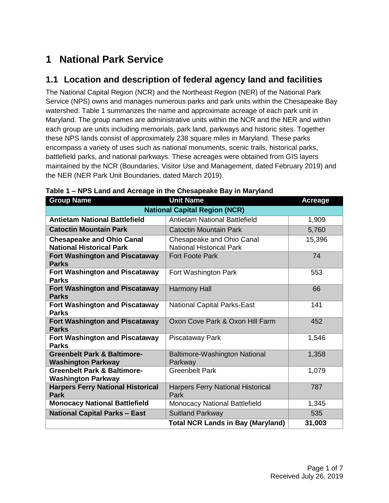# **1 National Park Service**

## **1.1 Location and description of federal agency land and facilities**

The National Capital Region (NCR) and the Northeast Region (NER) of the National Park Service (NPS) owns and manages numerous parks and park units within the Chesapeake Bay watershed. Table 1 summarizes the name and approximate acreage of each park unit in Maryland. The group names are administrative units within the NCR and the NER and within each group are units including memorials, park land, parkways and historic sites. Together these NPS lands consist of approximately 238 square miles in Maryland. These parks encompass a variety of uses such as national monuments, scenic trails, historical parks, battlefield parks, and national parkways. These acreages were obtained from GIS layers maintained by the NCR (Boundaries, Visitor Use and Management, dated February 2019) and the NER (NER Park Unit Boundaries, dated March 2019).

| <b>Group Name</b>                                                   | <b>Unit Name</b>                                             | <b>Acreage</b> |
|---------------------------------------------------------------------|--------------------------------------------------------------|----------------|
|                                                                     | <b>National Capital Region (NCR)</b>                         |                |
| <b>Antietam National Battlefield</b>                                | <b>Antietam National Battlefield</b>                         | 1,909          |
| <b>Catoctin Mountain Park</b>                                       | <b>Catoctin Mountain Park</b>                                | 5,760          |
| <b>Chesapeake and Ohio Canal</b><br><b>National Historical Park</b> | Chesapeake and Ohio Canal<br><b>National Historical Park</b> | 15,396         |
| <b>Fort Washington and Piscataway</b><br><b>Parks</b>               | <b>Fort Foote Park</b>                                       | 74             |
| <b>Fort Washington and Piscataway</b><br><b>Parks</b>               | Fort Washington Park                                         | 553            |
| <b>Fort Washington and Piscataway</b><br><b>Parks</b>               | <b>Harmony Hall</b>                                          | 66             |
| <b>Fort Washington and Piscataway</b><br><b>Parks</b>               | <b>National Capital Parks-East</b>                           | 141            |
| <b>Fort Washington and Piscataway</b><br><b>Parks</b>               | Oxon Cove Park & Oxon Hill Farm                              | 452            |
| <b>Fort Washington and Piscataway</b><br><b>Parks</b>               | Piscataway Park                                              | 1,546          |
| <b>Greenbelt Park &amp; Baltimore-</b><br><b>Washington Parkway</b> | <b>Baltimore-Washington National</b><br>Parkway              | 1,358          |
| <b>Greenbelt Park &amp; Baltimore-</b><br><b>Washington Parkway</b> | <b>Greenbelt Park</b>                                        | 1,079          |
| <b>Harpers Ferry National Historical</b><br><b>Park</b>             | <b>Harpers Ferry National Historical</b><br>Park             | 787            |
| <b>Monocacy National Battlefield</b>                                | <b>Monocacy National Battlefield</b>                         | 1,345          |
| <b>National Capital Parks - East</b>                                | <b>Suitland Parkway</b>                                      | 535            |
|                                                                     | <b>Total NCR Lands in Bay (Maryland)</b>                     | 31,003         |

| Table 1 - NPS Land and Acreage in the Chesapeake Bay in Maryland |  |  |
|------------------------------------------------------------------|--|--|
|------------------------------------------------------------------|--|--|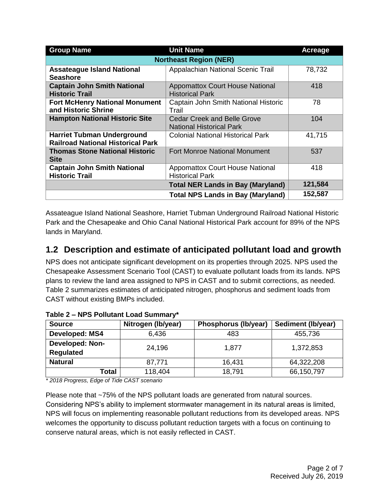| <b>Group Name</b>                                                             | <b>Unit Name</b>                                                      | Acreage |
|-------------------------------------------------------------------------------|-----------------------------------------------------------------------|---------|
|                                                                               | <b>Northeast Region (NER)</b>                                         |         |
| <b>Assateague Island National</b><br><b>Seashore</b>                          | Appalachian National Scenic Trail                                     | 78,732  |
| <b>Captain John Smith National</b><br><b>Historic Trail</b>                   | <b>Appomattox Court House National</b><br><b>Historical Park</b>      | 418     |
| <b>Fort McHenry National Monument</b><br>and Historic Shrine                  | Captain John Smith National Historic<br>Trail                         | 78      |
| <b>Hampton National Historic Site</b>                                         | <b>Cedar Creek and Belle Grove</b><br><b>National Historical Park</b> | 104     |
| <b>Harriet Tubman Underground</b><br><b>Railroad National Historical Park</b> | <b>Colonial National Historical Park</b>                              | 41,715  |
| <b>Thomas Stone National Historic</b><br><b>Site</b>                          | <b>Fort Monroe National Monument</b>                                  | 537     |
| <b>Captain John Smith National</b><br><b>Historic Trail</b>                   | <b>Appomattox Court House National</b><br><b>Historical Park</b>      | 418     |
|                                                                               | <b>Total NER Lands in Bay (Maryland)</b>                              | 121,584 |
|                                                                               | <b>Total NPS Lands in Bay (Maryland)</b>                              | 152,587 |

Assateague Island National Seashore, Harriet Tubman Underground Railroad National Historic Park and the Chesapeake and Ohio Canal National Historical Park account for 89% of the NPS lands in Maryland.

## **1.2 Description and estimate of anticipated pollutant load and growth**

NPS does not anticipate significant development on its properties through 2025. NPS used the Chesapeake Assessment Scenario Tool (CAST) to evaluate pollutant loads from its lands. NPS plans to review the land area assigned to NPS in CAST and to submit corrections, as needed. Table 2 summarizes estimates of anticipated nitrogen, phosphorus and sediment loads from CAST without existing BMPs included.

| <b>Source</b>                              | Nitrogen (Ib/year) | Phosphorus (lb/year) | Sediment (Ib/year) |
|--------------------------------------------|--------------------|----------------------|--------------------|
| Developed: MS4                             | 6,436              | 483                  | 455,736            |
| <b>Developed: Non-</b><br><b>Regulated</b> | 24,196             | 1,877                | 1,372,853          |
| <b>Natural</b>                             | 87,771             | 16,431               | 64,322,208         |
| Total                                      | 118,404            | 18,791               | 66,150,797         |

**Table 2 – NPS Pollutant Load Summary\***

*\* 2018 Progress, Edge of Tide CAST scenario* 

Please note that ~75% of the NPS pollutant loads are generated from natural sources. Considering NPS's ability to implement stormwater management in its natural areas is limited, NPS will focus on implementing reasonable pollutant reductions from its developed areas. NPS welcomes the opportunity to discuss pollutant reduction targets with a focus on continuing to conserve natural areas, which is not easily reflected in CAST.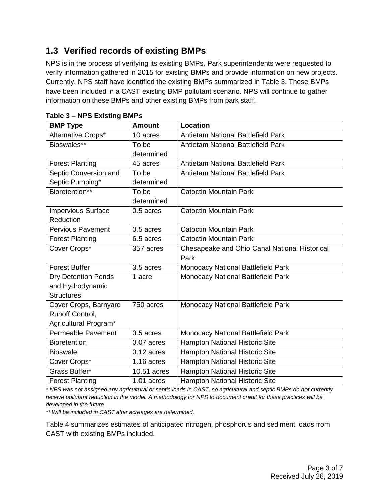# **1.3 Verified records of existing BMPs**

NPS is in the process of verifying its existing BMPs. Park superintendents were requested to verify information gathered in 2015 for existing BMPs and provide information on new projects. Currently, NPS staff have identified the existing BMPs summarized in Table 3. These BMPs have been included in a CAST existing BMP pollutant scenario. NPS will continue to gather information on these BMPs and other existing BMPs from park staff.

| <b>BMP Type</b>            | <b>Amount</b> | <b>Location</b>                               |
|----------------------------|---------------|-----------------------------------------------|
| Alternative Crops*         | 10 acres      | <b>Antietam National Battlefield Park</b>     |
| Bioswales**                | To be         | <b>Antietam National Battlefield Park</b>     |
|                            | determined    |                                               |
| <b>Forest Planting</b>     | 45 acres      | <b>Antietam National Battlefield Park</b>     |
| Septic Conversion and      | To be         | <b>Antietam National Battlefield Park</b>     |
| Septic Pumping*            | determined    |                                               |
| Bioretention**             | To be         | <b>Catoctin Mountain Park</b>                 |
|                            | determined    |                                               |
| <b>Impervious Surface</b>  | 0.5 acres     | <b>Catoctin Mountain Park</b>                 |
| Reduction                  |               |                                               |
| <b>Pervious Pavement</b>   | 0.5 acres     | <b>Catoctin Mountain Park</b>                 |
| <b>Forest Planting</b>     | 6.5 acres     | <b>Catoctin Mountain Park</b>                 |
| Cover Crops*               | 357 acres     | Chesapeake and Ohio Canal National Historical |
|                            |               | Park                                          |
| <b>Forest Buffer</b>       | 3.5 acres     | Monocacy National Battlefield Park            |
| <b>Dry Detention Ponds</b> | 1 acre        | Monocacy National Battlefield Park            |
| and Hydrodynamic           |               |                                               |
| <b>Structures</b>          |               |                                               |
| Cover Crops, Barnyard      | 750 acres     | Monocacy National Battlefield Park            |
| Runoff Control,            |               |                                               |
| Agricultural Program*      |               |                                               |
| <b>Permeable Pavement</b>  | 0.5 acres     | Monocacy National Battlefield Park            |
| <b>Bioretention</b>        | 0.07 acres    | Hampton National Historic Site                |
| <b>Bioswale</b>            | $0.12$ acres  | Hampton National Historic Site                |
| Cover Crops*               | $1.16$ acres  | <b>Hampton National Historic Site</b>         |
| Grass Buffer*              | 10.51 acres   | Hampton National Historic Site                |
| <b>Forest Planting</b>     | 1.01 acres    | <b>Hampton National Historic Site</b>         |

**Table 3 – NPS Existing BMPs**

*\* NPS was not assigned any agricultural or septic loads in CAST, so agricultural and septic BMPs do not currently receive pollutant reduction in the model. A methodology for NPS to document credit for these practices will be developed in the future.*

*\*\* Will be included in CAST after acreages are determined.*

Table 4 summarizes estimates of anticipated nitrogen, phosphorus and sediment loads from CAST with existing BMPs included.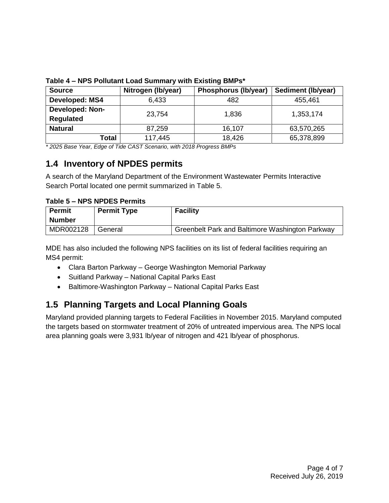| <b>Source</b>          | Nitrogen (Ib/year) | Phosphorus (lb/year) | Sediment (lb/year) |
|------------------------|--------------------|----------------------|--------------------|
| Developed: MS4         | 6,433              | 482                  | 455,461            |
| <b>Developed: Non-</b> | 23,754             | 1,836                | 1,353,174          |
| <b>Regulated</b>       |                    |                      |                    |
| <b>Natural</b>         | 87,259             | 16,107               | 63,570,265         |
| Total                  | 117,445            | 18,426               | 65,378,899         |

**Table 4 – NPS Pollutant Load Summary with Existing BMPs\*** 

*\* 2025 Base Year, Edge of Tide CAST Scenario, with 2018 Progress BMPs*

### **1.4 Inventory of NPDES permits**

A search of the Maryland Department of the Environment Wastewater Permits Interactive Search Portal located one permit summarized in Table 5.

**Table 5 – NPS NPDES Permits**

| <b>Permit</b> | <b>Permit Type</b> | <b>Facility</b>                                 |
|---------------|--------------------|-------------------------------------------------|
| <b>Number</b> |                    |                                                 |
| MDR002128     | General            | Greenbelt Park and Baltimore Washington Parkway |

MDE has also included the following NPS facilities on its list of federal facilities requiring an MS4 permit:

- Clara Barton Parkway George Washington Memorial Parkway
- Suitland Parkway National Capital Parks East
- Baltimore-Washington Parkway National Capital Parks East

# **1.5 Planning Targets and Local Planning Goals**

Maryland provided planning targets to Federal Facilities in November 2015. Maryland computed the targets based on stormwater treatment of 20% of untreated impervious area. The NPS local area planning goals were 3,931 lb/year of nitrogen and 421 lb/year of phosphorus.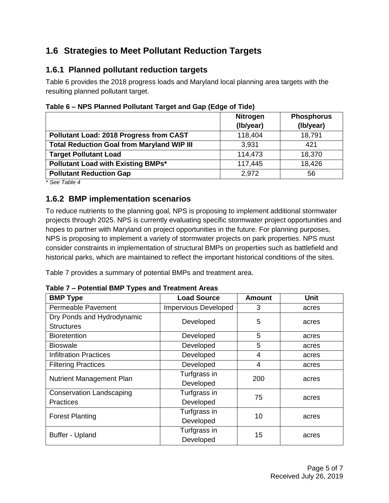## **1.6 Strategies to Meet Pollutant Reduction Targets**

#### **1.6.1 Planned pollutant reduction targets**

Table 6 provides the 2018 progress loads and Maryland local planning area targets with the resulting planned pollutant target.

|                                                   | <b>Nitrogen</b><br>(Ib/year) | <b>Phosphorus</b><br>(Ib/year) |
|---------------------------------------------------|------------------------------|--------------------------------|
| <b>Pollutant Load: 2018 Progress from CAST</b>    | 118,404                      | 18,791                         |
| <b>Total Reduction Goal from Maryland WIP III</b> | 3,931                        | 421                            |
| <b>Target Pollutant Load</b>                      | 114,473                      | 18,370                         |
| <b>Pollutant Load with Existing BMPs*</b>         | 117,445                      | 18,426                         |
| <b>Pollutant Reduction Gap</b>                    | 2,972                        | 56                             |

**Table 6 – NPS Planned Pollutant Target and Gap (Edge of Tide)**

*\* See Table 4*

#### **1.6.2 BMP implementation scenarios**

To reduce nutrients to the planning goal, NPS is proposing to implement additional stormwater projects through 2025. NPS is currently evaluating specific stormwater project opportunities and hopes to partner with Maryland on project opportunities in the future. For planning purposes, NPS is proposing to implement a variety of stormwater projects on park properties. NPS must consider constraints in implementation of structural BMPs on properties such as battlefield and historical parks, which are maintained to reflect the important historical conditions of the sites.

Table 7 provides a summary of potential BMPs and treatment area.

| <b>BMP Type</b>                 | <b>Load Source</b>          | <b>Amount</b> | <b>Unit</b> |
|---------------------------------|-----------------------------|---------------|-------------|
| Permeable Pavement              | <b>Impervious Developed</b> | 3             | acres       |
| Dry Ponds and Hydrodynamic      | Developed                   | 5             | acres       |
| <b>Structures</b>               |                             |               |             |
| <b>Bioretention</b>             | Developed                   | 5             | acres       |
| <b>Bioswale</b>                 | Developed                   | 5             | acres       |
| <b>Infiltration Practices</b>   | Developed                   | 4             | acres       |
| <b>Filtering Practices</b>      | Developed                   | 4             | acres       |
| <b>Nutrient Management Plan</b> | Turfgrass in                | 200           | acres       |
|                                 | Developed                   |               |             |
| <b>Conservation Landscaping</b> | Turfgrass in                | 75            | acres       |
| <b>Practices</b>                | Developed                   |               |             |
| <b>Forest Planting</b>          | Turfgrass in                | 10            | acres       |
|                                 | Developed                   |               |             |
| <b>Buffer - Upland</b>          | Turfgrass in                | 15            |             |
|                                 | Developed                   |               | acres       |

**Table 7 – Potential BMP Types and Treatment Areas**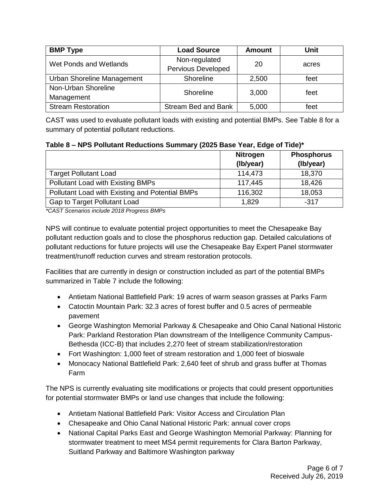| <b>BMP Type</b>            | <b>Load Source</b>         | <b>Amount</b> | Unit  |
|----------------------------|----------------------------|---------------|-------|
| Wet Ponds and Wetlands     | Non-regulated              | 20            | acres |
|                            | Pervious Developed         |               |       |
| Urban Shoreline Management | Shoreline                  | 2,500         | feet  |
| Non-Urban Shoreline        | Shoreline                  | 3,000         | feet  |
| Management                 |                            |               |       |
| <b>Stream Restoration</b>  | <b>Stream Bed and Bank</b> | 5,000         | feet  |

CAST was used to evaluate pollutant loads with existing and potential BMPs. See Table 8 for a summary of potential pollutant reductions.

**Table 8 – NPS Pollutant Reductions Summary (2025 Base Year, Edge of Tide)\***

|                                                 | <b>Nitrogen</b><br>(Ib/year) | <b>Phosphorus</b><br>(Ib/year) |
|-------------------------------------------------|------------------------------|--------------------------------|
| <b>Target Pollutant Load</b>                    | 114,473                      | 18,370                         |
| Pollutant Load with Existing BMPs               | 117,445                      | 18,426                         |
| Pollutant Load with Existing and Potential BMPs | 116,302                      | 18,053                         |
| Gap to Target Pollutant Load                    | 1,829                        | $-317$                         |

*\*CAST Scenarios include 2018 Progress BMPs* 

NPS will continue to evaluate potential project opportunities to meet the Chesapeake Bay pollutant reduction goals and to close the phosphorus reduction gap. Detailed calculations of pollutant reductions for future projects will use the Chesapeake Bay Expert Panel stormwater treatment/runoff reduction curves and stream restoration protocols.

Facilities that are currently in design or construction included as part of the potential BMPs summarized in Table 7 include the following:

- Antietam National Battlefield Park: 19 acres of warm season grasses at Parks Farm
- Catoctin Mountain Park: 32.3 acres of forest buffer and 0.5 acres of permeable pavement
- George Washington Memorial Parkway & Chesapeake and Ohio Canal National Historic Park: Parkland Restoration Plan downstream of the Intelligence Community Campus-Bethesda (ICC-B) that includes 2,270 feet of stream stabilization/restoration
- Fort Washington: 1,000 feet of stream restoration and 1,000 feet of bioswale
- Monocacy National Battlefield Park: 2,640 feet of shrub and grass buffer at Thomas Farm

The NPS is currently evaluating site modifications or projects that could present opportunities for potential stormwater BMPs or land use changes that include the following:

- Antietam National Battlefield Park: Visitor Access and Circulation Plan
- Chesapeake and Ohio Canal National Historic Park: annual cover crops
- National Capital Parks East and George Washington Memorial Parkway: Planning for stormwater treatment to meet MS4 permit requirements for Clara Barton Parkway, Suitland Parkway and Baltimore Washington parkway